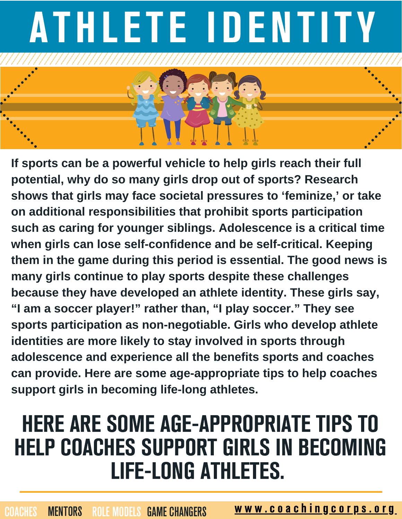

**If sports can be a powerful vehicle to help girls reach their full potential, why do so many girls drop out of sports? Research shows that girls may face societal pressures to 'feminize, ' or take on additional responsibilities that prohibit sports participation such as caring for younger siblings. Adolescence is a critical time when girls can lose self-confidence and be self-critical. Keeping them in the game during this period is essential. The good news is many girls continue to play sports despite these challenges because they have developed an athlete identity. These girls say, "I am a soccer player!" rather than, "I play soccer." They see sports participation as non-negotiable. Girls who develop athlete identities are more likely to stay involved in sports through adolescence and experience all the benefits sports and coaches can provide. Here are some age-appropriate tips to help coaches support girls in becoming life-long athletes.**

## HERE ARE SOME AGE-APPROPRIATE TIPS TO HELP COACHES SUPPORT GIRLS IN BECOMING LIFE-LONG ATHLETES.

MENTORS ROLE MODELS GAME CHANGERS WWW.COAChingcorps.org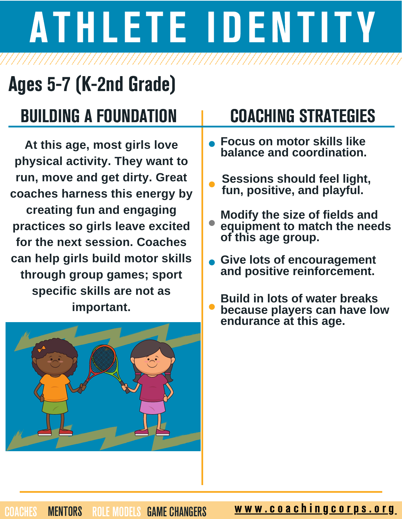## Ages 5-7 (K-2nd Grade)

### BUILDING A FOUNDATION I COACHING STRATEGIES

**At this age, most girls love physical activity. They want to run, move and get dirty. Great coaches harness this energy by creating fun and engaging practices so girls leave excited for the next session. Coaches can help girls build motor skills through group games; sport specific skills are not as important.**



- **Focus on motor skills like balance and coordination.**
- **Sessions should feel light, fun, positive, and playful.**
- **Modify the size of fields and equipment to match the needs of this age group.**
- **Give lots of encouragement and positive reinforcement.**
- **Build in lots of water breaks because players can have low endurance at this age.**

MENTORS ROLE MODELS GAME CHANGERS WWW.COAChingcorps.org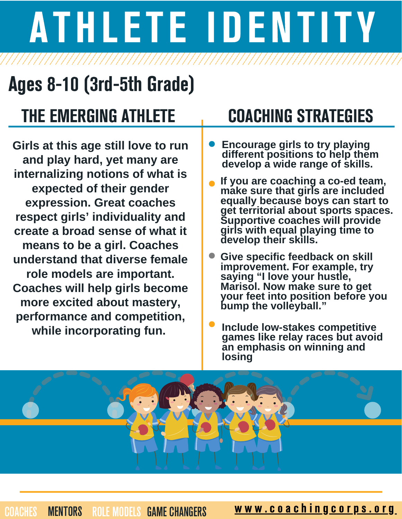### Ages 8-10 (3rd-5th Grade)

### THE EMERGING ATHLETE THE COACHING STRATEGIES

**Girls at this age still love to run and play hard, yet many are internalizing notions of what is expected of their gender expression. Great coaches respect girls' individuality and create a broad sense of what it means to be a girl. Coaches understand that diverse female role models are important. Coaches will help girls become more excited about mastery, performance and competition, while incorporating fun.**

- **Encourage girls to try playing different positions to help them develop a wide range of skills.**
- **If you are coaching a co-ed team, make sure that girls are included equally because boys can start to get territorial about sports spaces. Supportive coaches will provide girls with equal playing time to develop their skills.**
- **Give specific feedback on skill improvement. For example, try saying "I love your hustle, Marisol. Now make sure to get your feet into position before you bump the volleyball."**
- **Include low-stakes competitive games like relay races but avoid an emphasis on winning and losing**



WENTORS ROLE MODELS GAME CHANGERS WWW.COAChingcorps.org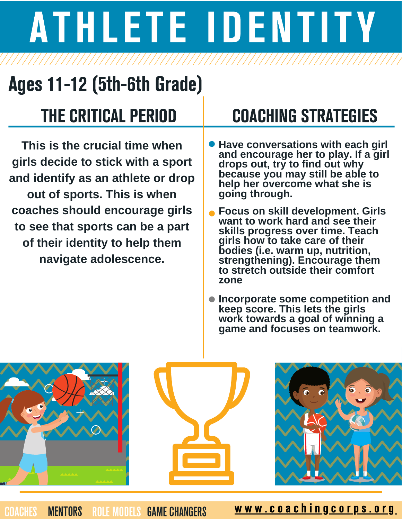## Ages 11-12 (5th-6th Grade)

**This is the crucial time when girls decide to stick with a sport and identify as an athlete or drop out of sports. This is when coaches should encourage girls to see that sports can be a part of their identity to help them navigate adolescence.**

### THE CRITICAL PERIOD COACHING STRATEGIES

- **Have conversations with each girl and encourage her to play. If a girl drops out, try to find out why because you may still be able to help her overcome what she is going through.**
- **Focus on skill development. Girls want to work hard and see their skills progress over time. Teach girls how to take care of their bodies (i.e. warm up, nutrition, strengthening). Encourage them to stretch outside their comfort zone**
- **Incorporate some competition and keep score. This lets the girls work towards a goal of winning a game and focuses on teamwork.**



WENTORS ROLE MODELS GAME CHANGERS WWW.COAChingcorps.org